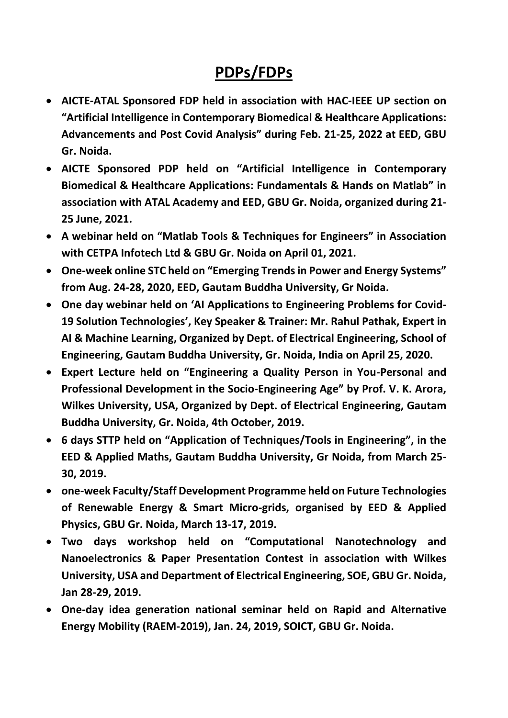## **PDPs/FDPs**

- **AICTE-ATAL Sponsored FDP held in association with HAC-IEEE UP section on "Artificial Intelligence in Contemporary Biomedical & Healthcare Applications: Advancements and Post Covid Analysis" during Feb. 21-25, 2022 at EED, GBU Gr. Noida.**
- **AICTE Sponsored PDP held on "Artificial Intelligence in Contemporary Biomedical & Healthcare Applications: Fundamentals & Hands on Matlab" in association with ATAL Academy and EED, GBU Gr. Noida, organized during 21- 25 June, 2021.**
- **A webinar held on "Matlab Tools & Techniques for Engineers" in Association with CETPA Infotech Ltd & GBU Gr. Noida on April 01, 2021.**
- **One-week online STC held on "Emerging Trends in Power and Energy Systems" from Aug. 24-28, 2020, EED, Gautam Buddha University, Gr Noida.**
- **One day webinar held on 'AI Applications to Engineering Problems for Covid-19 Solution Technologies', Key Speaker & Trainer: Mr. Rahul Pathak, Expert in AI & Machine Learning, Organized by Dept. of Electrical Engineering, School of Engineering, Gautam Buddha University, Gr. Noida, India on April 25, 2020.**
- **Expert Lecture held on "Engineering a Quality Person in You-Personal and Professional Development in the Socio-Engineering Age" by Prof. V. K. Arora, Wilkes University, USA, Organized by Dept. of Electrical Engineering, Gautam Buddha University, Gr. Noida, 4th October, 2019.**
- **6 days STTP held on "Application of Techniques/Tools in Engineering", in the EED & Applied Maths, Gautam Buddha University, Gr Noida, from March 25- 30, 2019.**
- **one-week Faculty/Staff Development Programme held on Future Technologies of Renewable Energy & Smart Micro-grids, organised by EED & Applied Physics, GBU Gr. Noida, March 13-17, 2019.**
- **Two days workshop held on "Computational Nanotechnology and Nanoelectronics & Paper Presentation Contest in association with Wilkes University, USA and Department of Electrical Engineering, SOE, GBU Gr. Noida, Jan 28-29, 2019.**
- **One-day idea generation national seminar held on Rapid and Alternative Energy Mobility (RAEM-2019), Jan. 24, 2019, SOICT, GBU Gr. Noida.**